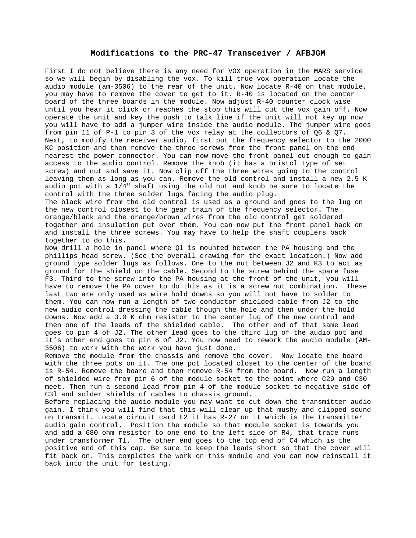## **Modifications to the PRC-47 Transceiver / AFBJGM**

First I do not believe there is any need for VOX operation in the MARS service so we will begin by disabling the vox. To kill true vox operation locate the audio module (am-3506) to the rear of the unit. Now locate R-40 on that module, you may have to remove the cover to get to it. R-40 is located on the center board of the three boards in the module. Now adjust R-40 counter clock wise until you hear it click or reaches the stop this will cut the vox gain off. Now operate the unit and key the push to talk line if the unit will not key up now you will have to add a jumper wire inside the audio module. The jumper wire goes from pin 11 of P-1 to pin 3 of the vox relay at the collectors of Q6 & Q7. Next, to modify the receiver audio, first put the frequency selector to the 2000 KC position and then remove the three screws from the front panel on the end nearest the power connector. You can now move the front panel out enough to gain access to the audio control. Remove the knob (it has a bristol type of set screw) and nut and save it. Now clip off the three wires going to the control leaving them as long as you can. Remove the old control and install a new 2.5 K audio pot with a 1/4" shaft using the old nut and knob be sure to locate the control with the three solder lugs facing the audio plug.

The black wire from the old control is used as a ground and goes to the lug on the new control closest to the gear train of the frequency selector. The orange/black and the orange/brown wires from the old control get soldered together and insulation put over them. You can now put the front panel back on and install the three screws. You may have to help the shaft couplers back together to do this.

Now drill a hole in panel where Ql is mounted between the PA housing and the phillips head screw. (See the overall drawing for the exact location.) Now add ground type solder lugs as follows. One to the nut between J2 and K3 to act as ground for the shield on the cable. Second to the screw behind the spare fuse F3. Third to the screw into the PA housing at the front of the unit, you will have to remove the PA cover to do this as it is a screw nut combination. These last two are only used as wire hold downs so you will not have to solder to them. You can now run a length of two conductor shielded cable from J2 to the new audio control dressing the cable though the hole and then under the hold downs. Now add a 3.0 K ohm resistor to the center lug of the new control and then one of the leads of the shielded cable. The other end of that same lead goes to pin 4 of J2. The other lead goes to the third lug of the audio pot and it's other end goes to pin 6 of J2. You now need to rework the audio module (AM-3506) to work with the work you have just done.

Remove the module from the chassis and remove the cover. Now locate the board with the three pots on it. The one pot located closet to the center of the board is R-54. Remove the board and then remove R-54 from the board. Now run a length of shielded wire from pin 6 of the module socket to the point where C29 and C30 meet. Then run a second lead from pin 4 of the module socket to negative side of C3l and solder shields of cables to chassis ground.

Before replacing the audio module you may want to cut down the transmitter audio gain. I think you will find that this will clear up that mushy and clipped sound on transmit. Locate circuit card E2 it has R-27 on it which is the transmitter audio gain control. Position the module so that module socket is towards you and add a 680 ohm resistor to one end to the left side of R4, that trace runs under transformer T1. The other end goes to the top end of C4 which is the positive end of this cap. Be sure to keep the leads short so that the cover will fit back on. This completes the work on this module and you can now reinstall it back into the unit for testing.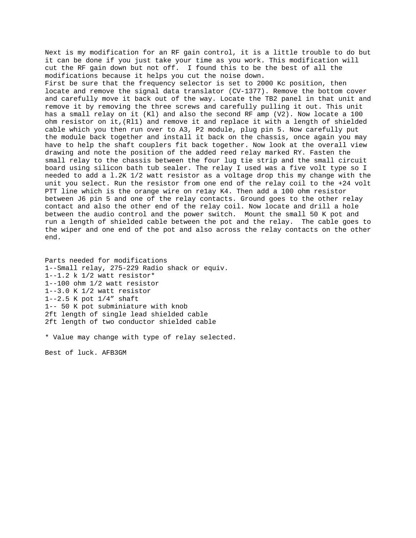Next is my modification for an RF gain control, it is a little trouble to do but it can be done if you just take your time as you work. This modification will cut the RF gain down but not off. I found this to be the best of all the modifications because it helps you cut the noise down. First be sure that the frequency selector is set to 2000 Kc position, then locate and remove the signal data translator (CV-1377). Remove the bottom cover and carefully move it back out of the way. Locate the TB2 panel in that unit and remove it by removing the three screws and carefully pulling it out. This unit has a small relay on it (Kl) and also the second RF amp (V2). Now locate a 100 ohm resistor on it,(Rl1) and remove it and replace it with a length of shielded cable which you then run over to A3, P2 module, plug pin 5. Now carefully put the module back together and install it back on the chassis, once again you may have to help the shaft couplers fit back together. Now look at the overall view drawing and note the position of the added reed relay marked RY. Fasten the small relay to the chassis between the four lug tie strip and the small circuit board using silicon bath tub sealer. The relay I used was a five volt type so I needed to add a l.2K 1/2 watt resistor as a voltage drop this my change with the unit you select. Run the resistor from one end of the relay coil to the +24 volt PTT line which is the orange wire on re1ay K4. Then add a 100 ohm resistor between J6 pin 5 and one of the relay contacts. Ground goes to the other relay contact and also the other end of the relay coil. Now locate and drill a hole between the audio control and the power switch. Mount the small 50 K pot and run a length of shielded cable between the pot and the relay. The cable goes to the wiper and one end of the pot and also across the relay contacts on the other end.

Parts needed for modifications 1--Small relay, 275-229 Radio shack or equiv. 1--1.2 k 1/2 watt resistor\* 1--100 ohm 1/2 watt resistor 1--3.0 K 1/2 watt resistor 1--2.5 K pot 1/4" shaft 1-- 50 K pot subminiature with knob 2ft length of single lead shielded cable 2ft length of two conductor shielded cable

\* Value may change with type of relay selected.

Best of luck. AFB3GM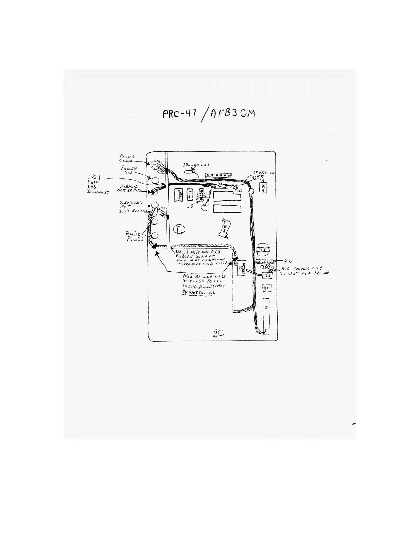$PRC-47/AFB3GM$ POINTR  $\sum_{n=1}^{\infty}$  $\begin{array}{c} \rho_{\text{out}} \\ \rho_{\text{out}} \\ \text{S} \omega \end{array}$  $\stackrel{.}{\subset}$ *DRAWJE*<br>ABO DRILL<br>Hole<br>ADD<br>SROHHENT  $600000$ Submin<br>Sok RF Pet.  $\sqrt{4}$ স  $\frac{1}{6}$ €  $\boxed{\frac{1}{25}}$  $2.5KAu0.0$ **Council**  $\oplus$  $P_{L \cup 35}^{\text{ULO}}$ <u>iaceric accinno</u> DR. II HOLEAND AUD<br>PORTI HOLEAND AUD<br>ROOM WIKE AS SHOWED<br>TO PREVENT HOLE FIERS  $\frac{1}{T}$ **ARCHITE**  $-52$  $E_3$ ADD SOLDER LUG<br>TO NUT FOR GROUND ADD JROWND LUTS<br>AT THESE POINTS<br>TO VOID DOWN CABLE<br>**DO NOT** SOLDER  $K<sub>2</sub>$  $\frac{1}{\sqrt{2}}$  $\tilde{\Xi} \bigcirc$ 

 $\overline{\mathcal{C}}$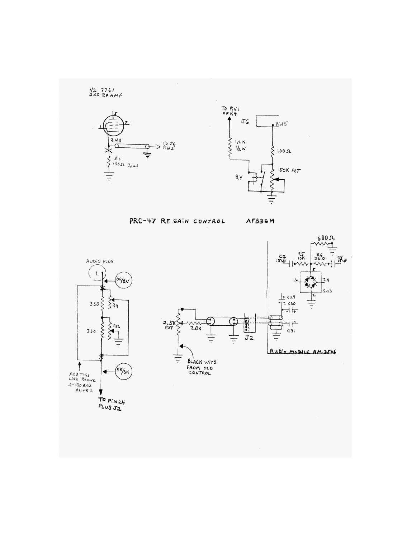